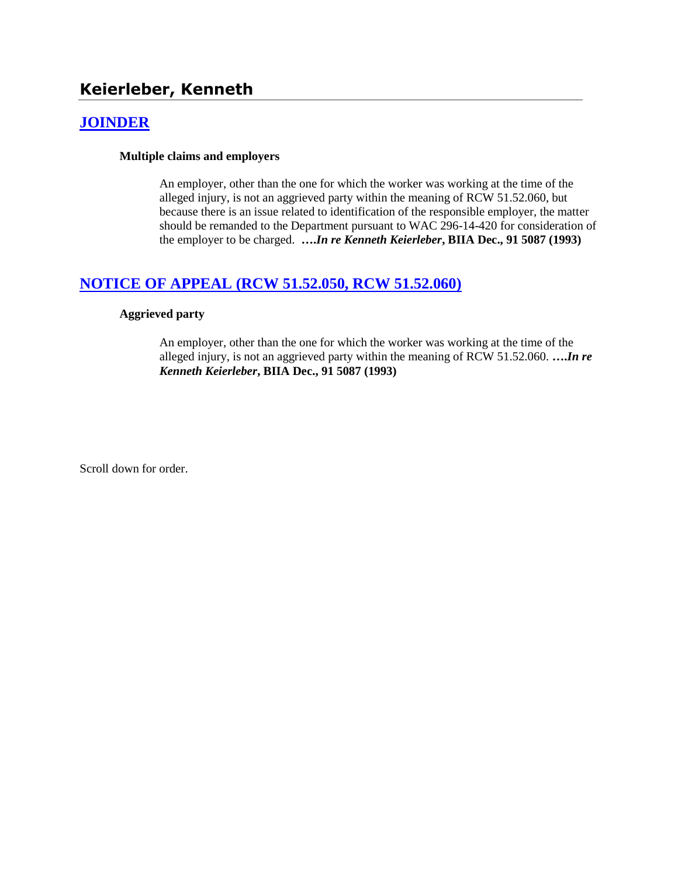# **Keierleber, Kenneth**

## **[JOINDER](http://www.biia.wa.gov/SDSubjectIndex.html#JOINDER)**

#### **Multiple claims and employers**

An employer, other than the one for which the worker was working at the time of the alleged injury, is not an aggrieved party within the meaning of RCW 51.52.060, but because there is an issue related to identification of the responsible employer, the matter should be remanded to the Department pursuant to WAC 296-14-420 for consideration of the employer to be charged. **….***In re Kenneth Keierleber***, BIIA Dec., 91 5087 (1993)**

## **[NOTICE OF APPEAL \(RCW 51.52.050, RCW 51.52.060\)](http://www.biia.wa.gov/SDSubjectIndex.html#NOTICE_OF_APPEAL)**

#### **Aggrieved party**

An employer, other than the one for which the worker was working at the time of the alleged injury, is not an aggrieved party within the meaning of RCW 51.52.060. **….***In re Kenneth Keierleber***, BIIA Dec., 91 5087 (1993)** 

Scroll down for order.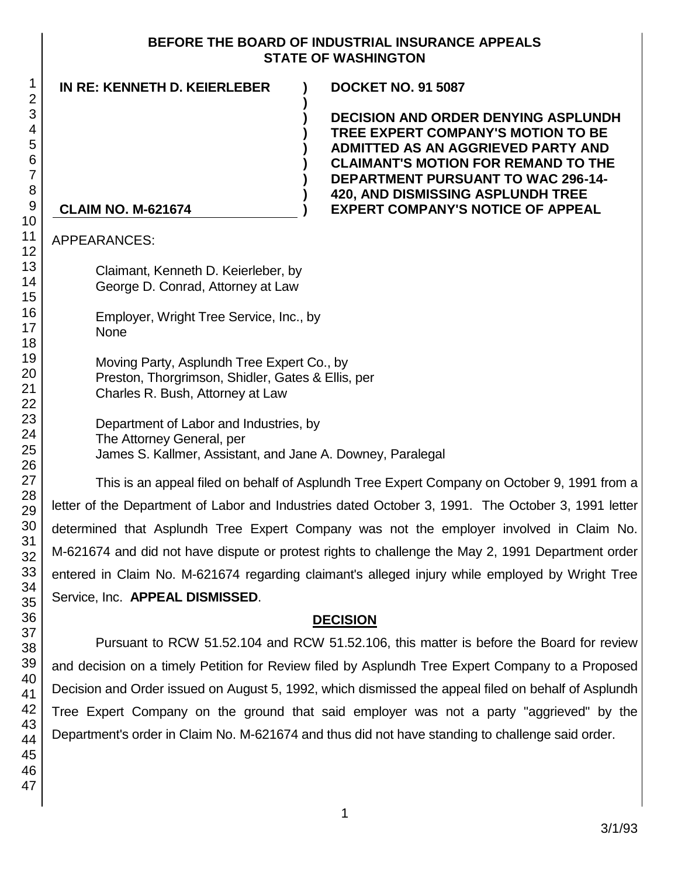#### **BEFORE THE BOARD OF INDUSTRIAL INSURANCE APPEALS STATE OF WASHINGTON**

**)**

**) ) ) ) ) ) )**

| IN RE: KENNETH D. KEIERLEBER |
|------------------------------|
|------------------------------|

**IN RE: KENNETH D. KEIERLEBER ) DOCKET NO. 91 5087**

**DECISION AND ORDER DENYING ASPLUNDH TREE EXPERT COMPANY'S MOTION TO BE ADMITTED AS AN AGGRIEVED PARTY AND CLAIMANT'S MOTION FOR REMAND TO THE DEPARTMENT PURSUANT TO WAC 296-14- 420, AND DISMISSING ASPLUNDH TREE EXPERT COMPANY'S NOTICE OF APPEAL**

## **CLAIM NO. M-621674**

APPEARANCES:

Claimant, Kenneth D. Keierleber, by George D. Conrad, Attorney at Law

Employer, Wright Tree Service, Inc., by None

Moving Party, Asplundh Tree Expert Co., by Preston, Thorgrimson, Shidler, Gates & Ellis, per Charles R. Bush, Attorney at Law

Department of Labor and Industries, by The Attorney General, per James S. Kallmer, Assistant, and Jane A. Downey, Paralegal

This is an appeal filed on behalf of Asplundh Tree Expert Company on October 9, 1991 from a letter of the Department of Labor and Industries dated October 3, 1991. The October 3, 1991 letter determined that Asplundh Tree Expert Company was not the employer involved in Claim No. M-621674 and did not have dispute or protest rights to challenge the May 2, 1991 Department order entered in Claim No. M-621674 regarding claimant's alleged injury while employed by Wright Tree Service, Inc. **APPEAL DISMISSED**.

## **DECISION**

Pursuant to RCW 51.52.104 and RCW 51.52.106, this matter is before the Board for review and decision on a timely Petition for Review filed by Asplundh Tree Expert Company to a Proposed Decision and Order issued on August 5, 1992, which dismissed the appeal filed on behalf of Asplundh Tree Expert Company on the ground that said employer was not a party "aggrieved" by the Department's order in Claim No. M-621674 and thus did not have standing to challenge said order.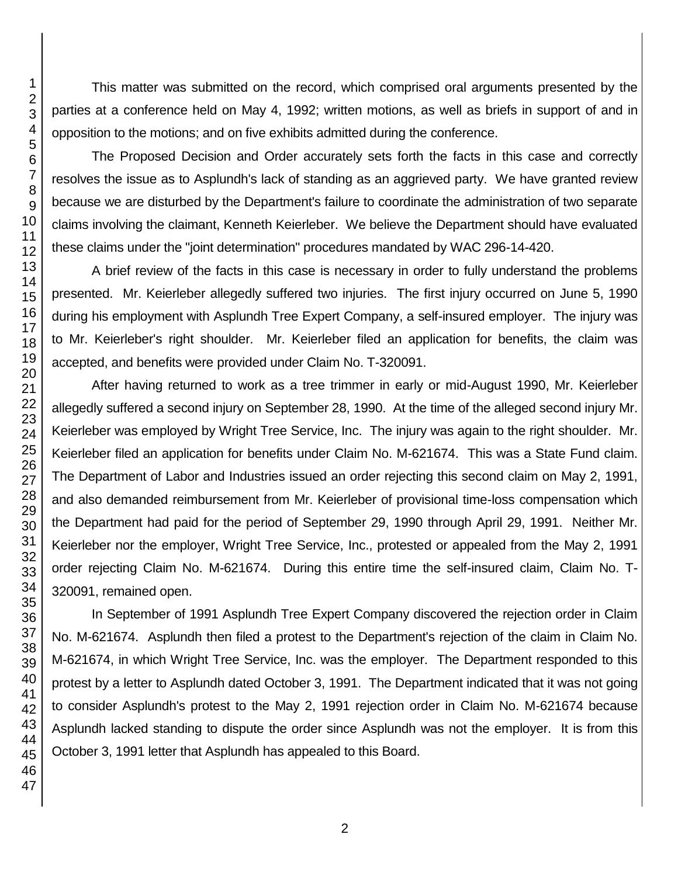This matter was submitted on the record, which comprised oral arguments presented by the parties at a conference held on May 4, 1992; written motions, as well as briefs in support of and in opposition to the motions; and on five exhibits admitted during the conference.

The Proposed Decision and Order accurately sets forth the facts in this case and correctly resolves the issue as to Asplundh's lack of standing as an aggrieved party. We have granted review because we are disturbed by the Department's failure to coordinate the administration of two separate claims involving the claimant, Kenneth Keierleber. We believe the Department should have evaluated these claims under the "joint determination" procedures mandated by WAC 296-14-420.

A brief review of the facts in this case is necessary in order to fully understand the problems presented. Mr. Keierleber allegedly suffered two injuries. The first injury occurred on June 5, 1990 during his employment with Asplundh Tree Expert Company, a self-insured employer. The injury was to Mr. Keierleber's right shoulder. Mr. Keierleber filed an application for benefits, the claim was accepted, and benefits were provided under Claim No. T-320091.

After having returned to work as a tree trimmer in early or mid-August 1990, Mr. Keierleber allegedly suffered a second injury on September 28, 1990. At the time of the alleged second injury Mr. Keierleber was employed by Wright Tree Service, Inc. The injury was again to the right shoulder. Mr. Keierleber filed an application for benefits under Claim No. M-621674. This was a State Fund claim. The Department of Labor and Industries issued an order rejecting this second claim on May 2, 1991, and also demanded reimbursement from Mr. Keierleber of provisional time-loss compensation which the Department had paid for the period of September 29, 1990 through April 29, 1991. Neither Mr. Keierleber nor the employer, Wright Tree Service, Inc., protested or appealed from the May 2, 1991 order rejecting Claim No. M-621674. During this entire time the self-insured claim, Claim No. T-320091, remained open.

In September of 1991 Asplundh Tree Expert Company discovered the rejection order in Claim No. M-621674. Asplundh then filed a protest to the Department's rejection of the claim in Claim No. M-621674, in which Wright Tree Service, Inc. was the employer. The Department responded to this protest by a letter to Asplundh dated October 3, 1991. The Department indicated that it was not going to consider Asplundh's protest to the May 2, 1991 rejection order in Claim No. M-621674 because Asplundh lacked standing to dispute the order since Asplundh was not the employer. It is from this October 3, 1991 letter that Asplundh has appealed to this Board.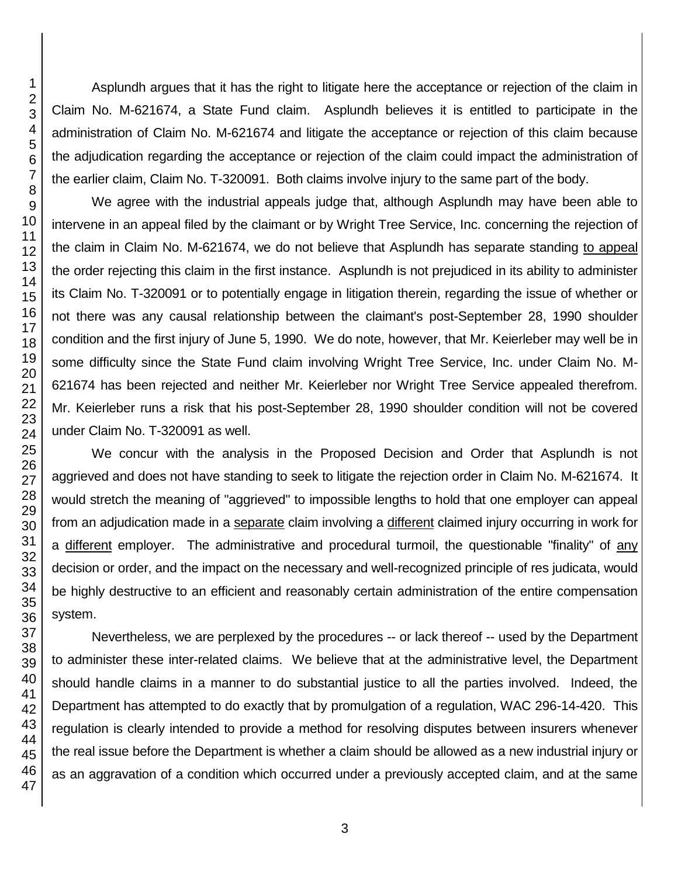Asplundh argues that it has the right to litigate here the acceptance or rejection of the claim in Claim No. M-621674, a State Fund claim. Asplundh believes it is entitled to participate in the administration of Claim No. M-621674 and litigate the acceptance or rejection of this claim because the adjudication regarding the acceptance or rejection of the claim could impact the administration of the earlier claim, Claim No. T-320091. Both claims involve injury to the same part of the body.

We agree with the industrial appeals judge that, although Asplundh may have been able to intervene in an appeal filed by the claimant or by Wright Tree Service, Inc. concerning the rejection of the claim in Claim No. M-621674, we do not believe that Asplundh has separate standing to appeal the order rejecting this claim in the first instance. Asplundh is not prejudiced in its ability to administer its Claim No. T-320091 or to potentially engage in litigation therein, regarding the issue of whether or not there was any causal relationship between the claimant's post-September 28, 1990 shoulder condition and the first injury of June 5, 1990. We do note, however, that Mr. Keierleber may well be in some difficulty since the State Fund claim involving Wright Tree Service, Inc. under Claim No. M-621674 has been rejected and neither Mr. Keierleber nor Wright Tree Service appealed therefrom. Mr. Keierleber runs a risk that his post-September 28, 1990 shoulder condition will not be covered under Claim No. T-320091 as well.

We concur with the analysis in the Proposed Decision and Order that Asplundh is not aggrieved and does not have standing to seek to litigate the rejection order in Claim No. M-621674. It would stretch the meaning of "aggrieved" to impossible lengths to hold that one employer can appeal from an adjudication made in a separate claim involving a different claimed injury occurring in work for a different employer. The administrative and procedural turmoil, the questionable "finality" of any decision or order, and the impact on the necessary and well-recognized principle of res judicata, would be highly destructive to an efficient and reasonably certain administration of the entire compensation system.

Nevertheless, we are perplexed by the procedures -- or lack thereof -- used by the Department to administer these inter-related claims. We believe that at the administrative level, the Department should handle claims in a manner to do substantial justice to all the parties involved. Indeed, the Department has attempted to do exactly that by promulgation of a regulation, WAC 296-14-420. This regulation is clearly intended to provide a method for resolving disputes between insurers whenever the real issue before the Department is whether a claim should be allowed as a new industrial injury or as an aggravation of a condition which occurred under a previously accepted claim, and at the same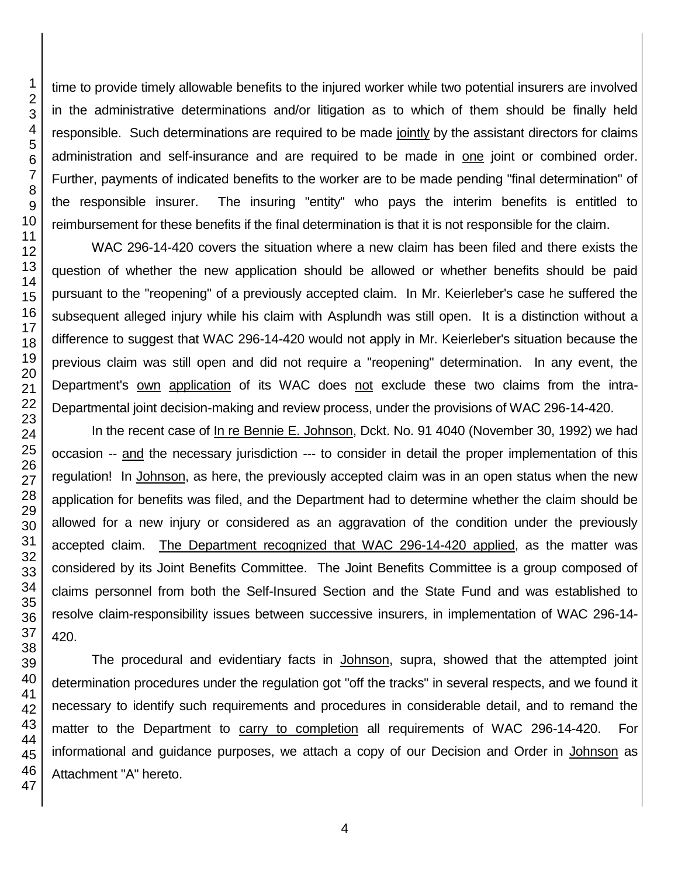time to provide timely allowable benefits to the injured worker while two potential insurers are involved in the administrative determinations and/or litigation as to which of them should be finally held responsible. Such determinations are required to be made jointly by the assistant directors for claims administration and self-insurance and are required to be made in one joint or combined order. Further, payments of indicated benefits to the worker are to be made pending "final determination" of the responsible insurer. The insuring "entity" who pays the interim benefits is entitled to reimbursement for these benefits if the final determination is that it is not responsible for the claim.

WAC 296-14-420 covers the situation where a new claim has been filed and there exists the question of whether the new application should be allowed or whether benefits should be paid pursuant to the "reopening" of a previously accepted claim. In Mr. Keierleber's case he suffered the subsequent alleged injury while his claim with Asplundh was still open. It is a distinction without a difference to suggest that WAC 296-14-420 would not apply in Mr. Keierleber's situation because the previous claim was still open and did not require a "reopening" determination. In any event, the Department's own application of its WAC does not exclude these two claims from the intra-Departmental joint decision-making and review process, under the provisions of WAC 296-14-420.

In the recent case of In re Bennie E. Johnson, Dckt. No. 91 4040 (November 30, 1992) we had occasion -- and the necessary jurisdiction --- to consider in detail the proper implementation of this regulation! In Johnson, as here, the previously accepted claim was in an open status when the new application for benefits was filed, and the Department had to determine whether the claim should be allowed for a new injury or considered as an aggravation of the condition under the previously accepted claim. The Department recognized that WAC 296-14-420 applied, as the matter was considered by its Joint Benefits Committee. The Joint Benefits Committee is a group composed of claims personnel from both the Self-Insured Section and the State Fund and was established to resolve claim-responsibility issues between successive insurers, in implementation of WAC 296-14- 420.

The procedural and evidentiary facts in Johnson, supra, showed that the attempted joint determination procedures under the regulation got "off the tracks" in several respects, and we found it necessary to identify such requirements and procedures in considerable detail, and to remand the matter to the Department to carry to completion all requirements of WAC 296-14-420. For informational and guidance purposes, we attach a copy of our Decision and Order in Johnson as Attachment "A" hereto.